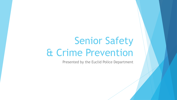# Senior Safety & Crime Prevention

Presented by the Euclid Police Department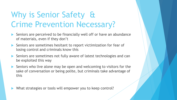## Why is Senior Safety & Crime Prevention Necessary?

- Seniors are perceived to be financially well off or have an abundance of materials, even if they don't
- Seniors are sometimes hesitant to report victimization for fear of losing control and criminals know this
- Seniors are sometimes not fully aware of latest technologies and can be exploited this way
- Seniors who live alone may be open and welcoming to visitors for the sake of conversation or being polite, but criminals take advantage of this

What strategies or tools will empower you to keep control?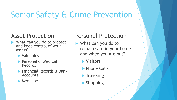## Senior Safety & Crime Prevention

#### Asset Protection

- ▶ What can you do to protect and keep control of your assets?
	- **Naluables**
	- **Personal or Medical** Records
	- **Financial Records & Bank** Accounts
	- $\blacktriangleright$  Medicine

#### Personal Protection

- ▶ What can you do to remain safe in your home and when you are out?
	- **Nisitors**
	- **Phone Calls**
	- $\blacktriangleright$  Traveling
	- **Shopping**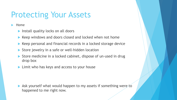## Protecting Your Assets

Home

- **Install quality locks on all doors**
- $\blacktriangleright$  Keep windows and doors closed and locked when not home
- ▶ Keep personal and financial records in a locked storage device
- Store jewelry in a safe or well-hidden location
- Store medicine in a locked cabinet, dispose of un-used in drug drop box
- **Limit who has keys and access to your house**

 Ask yourself what would happen to my assets if something were to happened to me right now.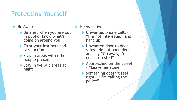### Protecting Yourself

#### $\blacktriangleright$  Be Aware

- $\triangleright$  Be alert when you are out in public, know what's going on around you
- **Trust your instincts and** take action
- Stay in areas with other people present
- Stay in well-lit areas at night

Be Assertive

- ▶ Unwanted phone calls -"I'm not interested" and hang up
- **I** Unwanted door to door sales – do not open door and say "Go away, I'm not interested"
- Approached on the street – "Leave me alone"
- Something doesn't feel right – "I'm calling the police"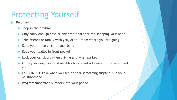### Protecting Yourself

- Be Smart
	- $\blacktriangleright$  Shop in the daytime
	- ▶ Only carry enough cash or one credit card for the shopping your need
	- Take friends or family with you, or tell them where you are going
	- Keep your purse close to your body
	- Keep your wallet in front pocket
	- Lock your car doors when driving and when parked
	- Know your neighbors and neighborhood get addresses of those around you
	- Call 216-731-1234 when you see or hear something suspicious in your neighborhood
	- **Program important numbers into your phone**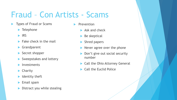### Fraud – Con Artists - Scams

- Types of Fraud or Scams
	- ▶ Telephone
	- $\blacktriangleright$  IRS
	- $\blacktriangleright$  Fake check in the mail
	- Grandparent
	- Secret shopper
	- Sweepstakes and lottery
	- **Investments**
	- $\blacktriangleright$  Charity
	- Identity theft
	- Email spam
	- Distract you while stealing
- **Prevention** 
	- $\blacktriangleright$  Ask and check
	- Be skeptical
	- Shred papers
	- Never agree over the phone
	- Don't give out social security number
	- ▶ Call the Ohio Attorney General
	- Call the Euclid Police